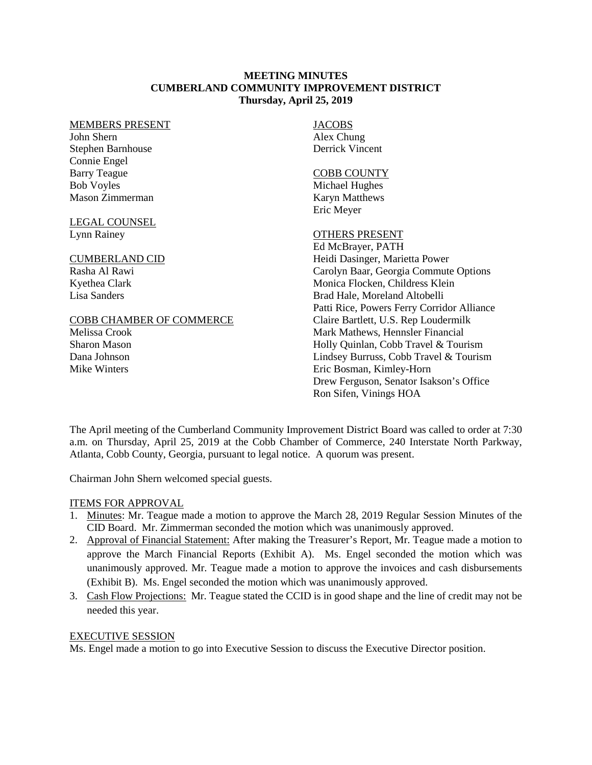#### **MEETING MINUTES CUMBERLAND COMMUNITY IMPROVEMENT DISTRICT Thursday, April 25, 2019**

#### MEMBERS PRESENT

John Shern Stephen Barnhouse Connie Engel Barry Teague Bob Voyles Mason Zimmerman

LEGAL COUNSEL Lynn Rainey

#### CUMBERLAND CID

Rasha Al Rawi Kyethea Clark Lisa Sanders

#### COBB CHAMBER OF COMMERCE

Melissa Crook Sharon Mason Dana Johnson Mike Winters

JACOBS Alex Chung Derrick Vincent

#### COBB COUNTY

Michael Hughes Karyn Matthews Eric Meyer

## OTHERS PRESENT

Ed McBrayer, PATH Heidi Dasinger, Marietta Power Carolyn Baar, Georgia Commute Options Monica Flocken, Childress Klein Brad Hale, Moreland Altobelli Patti Rice, Powers Ferry Corridor Alliance Claire Bartlett, U.S. Rep Loudermilk Mark Mathews, Hennsler Financial Holly Quinlan, Cobb Travel & Tourism Lindsey Burruss, Cobb Travel & Tourism Eric Bosman, Kimley-Horn Drew Ferguson, Senator Isakson's Office Ron Sifen, Vinings HOA

The April meeting of the Cumberland Community Improvement District Board was called to order at 7:30 a.m. on Thursday, April 25, 2019 at the Cobb Chamber of Commerce, 240 Interstate North Parkway, Atlanta, Cobb County, Georgia, pursuant to legal notice. A quorum was present.

Chairman John Shern welcomed special guests.

## ITEMS FOR APPROVAL

- 1. Minutes: Mr. Teague made a motion to approve the March 28, 2019 Regular Session Minutes of the CID Board. Mr. Zimmerman seconded the motion which was unanimously approved.
- 2. Approval of Financial Statement: After making the Treasurer's Report, Mr. Teague made a motion to approve the March Financial Reports (Exhibit A). Ms. Engel seconded the motion which was unanimously approved. Mr. Teague made a motion to approve the invoices and cash disbursements (Exhibit B). Ms. Engel seconded the motion which was unanimously approved.
- 3. Cash Flow Projections: Mr. Teague stated the CCID is in good shape and the line of credit may not be needed this year.

## EXECUTIVE SESSION

Ms. Engel made a motion to go into Executive Session to discuss the Executive Director position.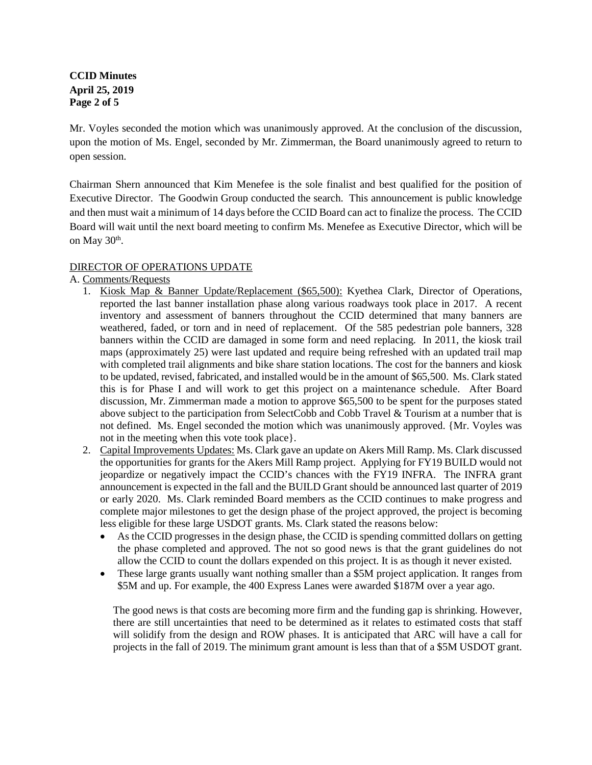**CCID Minutes April 25, 2019 Page 2 of 5**

Mr. Voyles seconded the motion which was unanimously approved. At the conclusion of the discussion, upon the motion of Ms. Engel, seconded by Mr. Zimmerman, the Board unanimously agreed to return to open session.

Chairman Shern announced that Kim Menefee is the sole finalist and best qualified for the position of Executive Director. The Goodwin Group conducted the search. This announcement is public knowledge and then must wait a minimum of 14 days before the CCID Board can act to finalize the process. The CCID Board will wait until the next board meeting to confirm Ms. Menefee as Executive Director, which will be on May  $30<sup>th</sup>$ .

## DIRECTOR OF OPERATIONS UPDATE

## A. Comments/Requests

- 1. Kiosk Map & Banner Update/Replacement (\$65,500): Kyethea Clark, Director of Operations, reported the last banner installation phase along various roadways took place in 2017. A recent inventory and assessment of banners throughout the CCID determined that many banners are weathered, faded, or torn and in need of replacement. Of the 585 pedestrian pole banners, 328 banners within the CCID are damaged in some form and need replacing. In 2011, the kiosk trail maps (approximately 25) were last updated and require being refreshed with an updated trail map with completed trail alignments and bike share station locations. The cost for the banners and kiosk to be updated, revised, fabricated, and installed would be in the amount of \$65,500. Ms. Clark stated this is for Phase I and will work to get this project on a maintenance schedule. After Board discussion, Mr. Zimmerman made a motion to approve \$65,500 to be spent for the purposes stated above subject to the participation from SelectCobb and Cobb Travel & Tourism at a number that is not defined. Ms. Engel seconded the motion which was unanimously approved. {Mr. Voyles was not in the meeting when this vote took place}.
- 2. Capital Improvements Updates: Ms. Clark gave an update on Akers Mill Ramp. Ms. Clark discussed the opportunities for grants for the Akers Mill Ramp project. Applying for FY19 BUILD would not jeopardize or negatively impact the CCID's chances with the FY19 INFRA. The INFRA grant announcement is expected in the fall and the BUILD Grant should be announced last quarter of 2019 or early 2020. Ms. Clark reminded Board members as the CCID continues to make progress and complete major milestones to get the design phase of the project approved, the project is becoming less eligible for these large USDOT grants. Ms. Clark stated the reasons below:
	- As the CCID progresses in the design phase, the CCID is spending committed dollars on getting the phase completed and approved. The not so good news is that the grant guidelines do not allow the CCID to count the dollars expended on this project. It is as though it never existed.
	- These large grants usually want nothing smaller than a \$5M project application. It ranges from \$5M and up. For example, the 400 Express Lanes were awarded \$187M over a year ago.

The good news is that costs are becoming more firm and the funding gap is shrinking. However, there are still uncertainties that need to be determined as it relates to estimated costs that staff will solidify from the design and ROW phases. It is anticipated that ARC will have a call for projects in the fall of 2019. The minimum grant amount is less than that of a \$5M USDOT grant.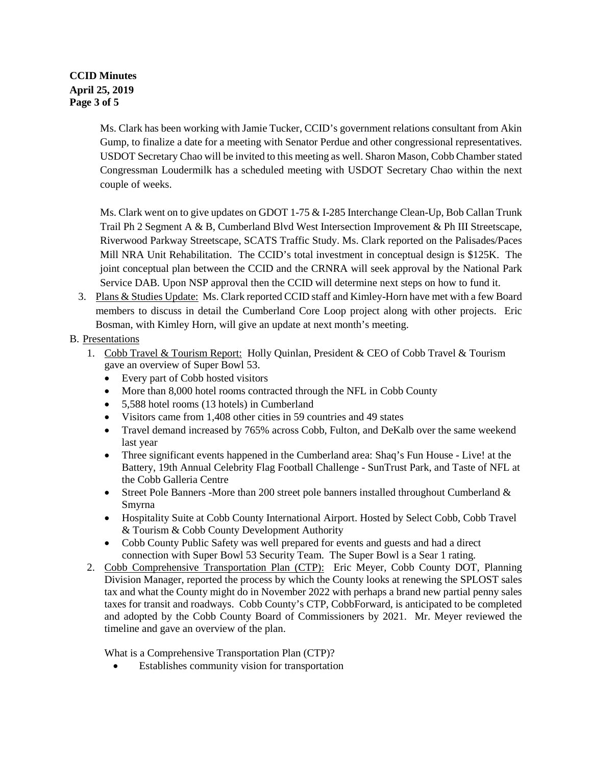# **CCID Minutes April 25, 2019 Page 3 of 5**

Ms. Clark has been working with Jamie Tucker, CCID's government relations consultant from Akin Gump, to finalize a date for a meeting with Senator Perdue and other congressional representatives. USDOT Secretary Chao will be invited to this meeting as well. Sharon Mason, Cobb Chamber stated Congressman Loudermilk has a scheduled meeting with USDOT Secretary Chao within the next couple of weeks.

Ms. Clark went on to give updates on GDOT 1-75 & I-285 Interchange Clean-Up, Bob Callan Trunk Trail Ph 2 Segment A & B, Cumberland Blvd West Intersection Improvement & Ph III Streetscape, Riverwood Parkway Streetscape, SCATS Traffic Study. Ms. Clark reported on the Palisades/Paces Mill NRA Unit Rehabilitation. The CCID's total investment in conceptual design is \$125K. The joint conceptual plan between the CCID and the CRNRA will seek approval by the National Park Service DAB. Upon NSP approval then the CCID will determine next steps on how to fund it.

3. Plans & Studies Update: Ms. Clark reported CCID staff and Kimley-Horn have met with a few Board members to discuss in detail the Cumberland Core Loop project along with other projects. Eric Bosman, with Kimley Horn, will give an update at next month's meeting.

# B. Presentations

- 1. Cobb Travel & Tourism Report: Holly Quinlan, President & CEO of Cobb Travel & Tourism gave an overview of Super Bowl 53.
	- Every part of Cobb hosted visitors
	- More than 8,000 hotel rooms contracted through the NFL in Cobb County
	- 5,588 hotel rooms (13 hotels) in Cumberland
	- Visitors came from 1,408 other cities in 59 countries and 49 states
	- Travel demand increased by 765% across Cobb, Fulton, and DeKalb over the same weekend last year
	- Three significant events happened in the Cumberland area: Shaq's Fun House Live! at the Battery, 19th Annual Celebrity Flag Football Challenge - SunTrust Park, and Taste of NFL at the Cobb Galleria Centre
	- Street Pole Banners -More than 200 street pole banners installed throughout Cumberland & Smyrna
	- Hospitality Suite at Cobb County International Airport. Hosted by Select Cobb, Cobb Travel & Tourism & Cobb County Development Authority
	- Cobb County Public Safety was well prepared for events and guests and had a direct connection with Super Bowl 53 Security Team. The Super Bowl is a Sear 1 rating.
- 2. Cobb Comprehensive Transportation Plan (CTP): Eric Meyer, Cobb County DOT, Planning Division Manager, reported the process by which the County looks at renewing the SPLOST sales tax and what the County might do in November 2022 with perhaps a brand new partial penny sales taxes for transit and roadways. Cobb County's CTP, CobbForward, is anticipated to be completed and adopted by the Cobb County Board of Commissioners by 2021. Mr. Meyer reviewed the timeline and gave an overview of the plan.

What is a Comprehensive Transportation Plan (CTP)?

Establishes community vision for transportation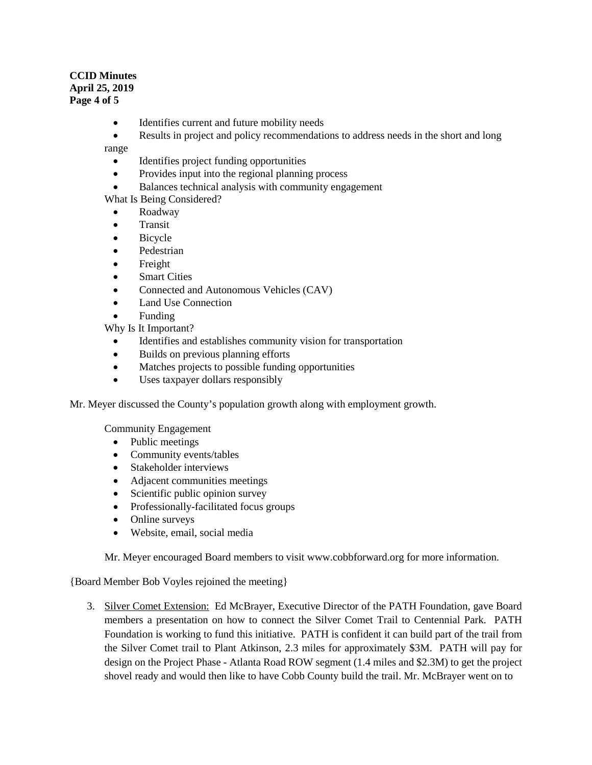## **CCID Minutes April 25, 2019 Page 4 of 5**

- Identifies current and future mobility needs
- Results in project and policy recommendations to address needs in the short and long

range

- Identifies project funding opportunities
- Provides input into the regional planning process
- Balances technical analysis with community engagement

What Is Being Considered?

- Roadway
- **Transit**
- **Bicycle**
- Pedestrian
- Freight
- Smart Cities
- Connected and Autonomous Vehicles (CAV)
- Land Use Connection
- Funding

Why Is It Important?

- Identifies and establishes community vision for transportation
- Builds on previous planning efforts
- Matches projects to possible funding opportunities
- Uses taxpayer dollars responsibly

Mr. Meyer discussed the County's population growth along with employment growth.

Community Engagement

- Public meetings
- Community events/tables
- Stakeholder interviews
- Adjacent communities meetings
- Scientific public opinion survey
- Professionally-facilitated focus groups
- Online surveys
- Website, email, social media

Mr. Meyer encouraged Board members to visit [www.cobbforward.org](http://www.cobbforward.org/) for more information.

{Board Member Bob Voyles rejoined the meeting}

3. Silver Comet Extension: Ed McBrayer, Executive Director of the PATH Foundation, gave Board members a presentation on how to connect the Silver Comet Trail to Centennial Park. PATH Foundation is working to fund this initiative. PATH is confident it can build part of the trail from the Silver Comet trail to Plant Atkinson, 2.3 miles for approximately \$3M. PATH will pay for design on the Project Phase - Atlanta Road ROW segment (1.4 miles and \$2.3M) to get the project shovel ready and would then like to have Cobb County build the trail. Mr. McBrayer went on to